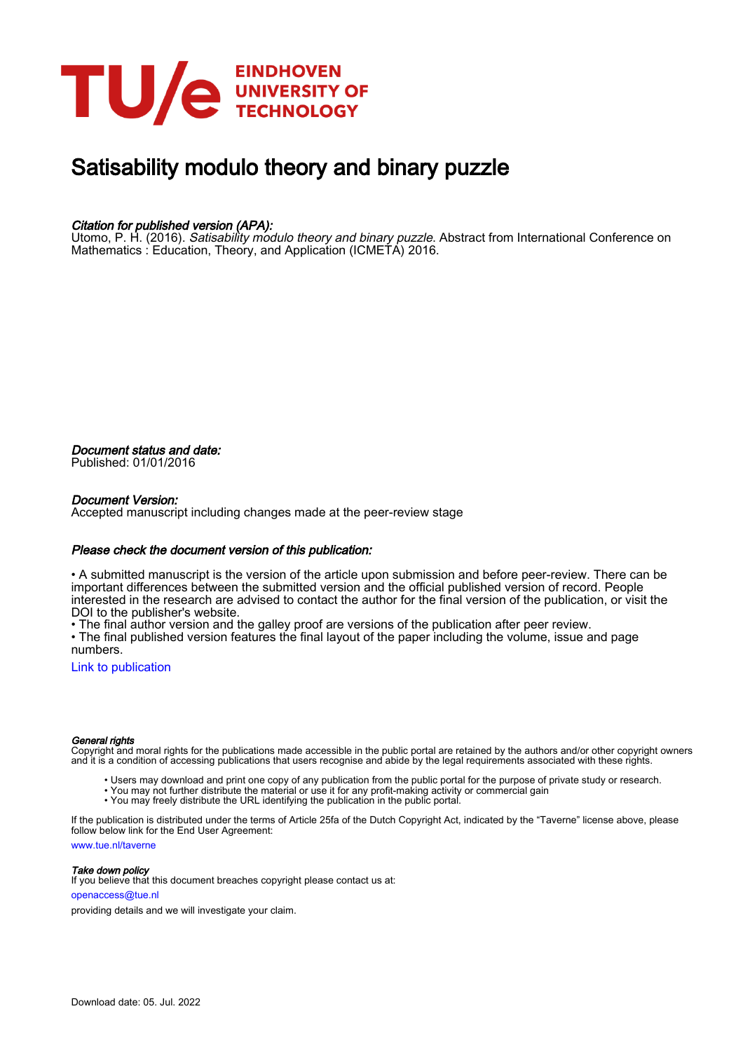

# Satisability modulo theory and binary puzzle

### Citation for published version (APA):

Utomo, P. H. (2016). Satisability modulo theory and binary puzzle. Abstract from International Conference on Mathematics : Education, Theory, and Application (ICMETA) 2016.

Document status and date: Published: 01/01/2016

#### Document Version:

Accepted manuscript including changes made at the peer-review stage

#### Please check the document version of this publication:

• A submitted manuscript is the version of the article upon submission and before peer-review. There can be important differences between the submitted version and the official published version of record. People interested in the research are advised to contact the author for the final version of the publication, or visit the DOI to the publisher's website.

• The final author version and the galley proof are versions of the publication after peer review.

• The final published version features the final layout of the paper including the volume, issue and page numbers.

[Link to publication](https://research.tue.nl/en/publications/85a54c42-9bc9-4ad5-8418-79f3883017fa)

#### General rights

Copyright and moral rights for the publications made accessible in the public portal are retained by the authors and/or other copyright owners and it is a condition of accessing publications that users recognise and abide by the legal requirements associated with these rights.

- Users may download and print one copy of any publication from the public portal for the purpose of private study or research.
- You may not further distribute the material or use it for any profit-making activity or commercial gain
- You may freely distribute the URL identifying the publication in the public portal.

If the publication is distributed under the terms of Article 25fa of the Dutch Copyright Act, indicated by the "Taverne" license above, please follow below link for the End User Agreement:

www.tue.nl/taverne

**Take down policy**<br>If you believe that this document breaches copyright please contact us at:

openaccess@tue.nl

providing details and we will investigate your claim.